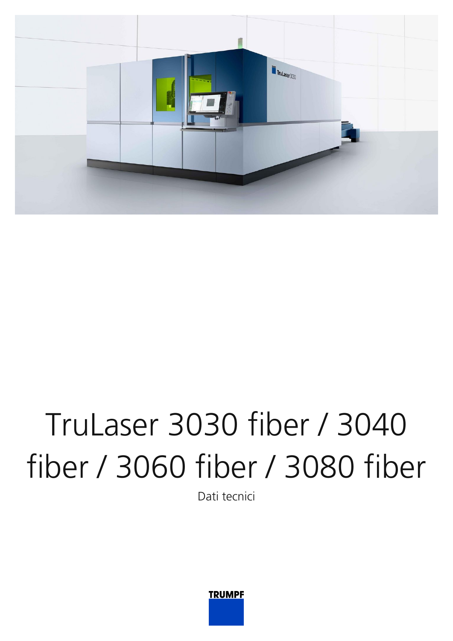

# TruLaser 3030 fiber / 3040 fiber / 3060 fiber / 3080 fiber

Dati tecnici

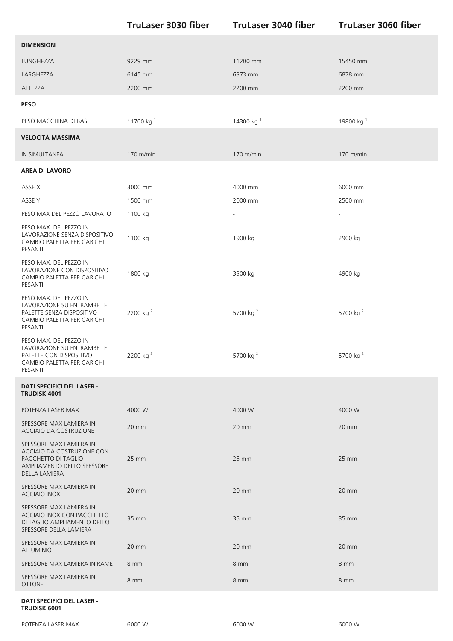|                                                                                                                                    | <b>TruLaser 3030 fiber</b> | <b>TruLaser 3040 fiber</b> | <b>TruLaser 3060 fiber</b> |
|------------------------------------------------------------------------------------------------------------------------------------|----------------------------|----------------------------|----------------------------|
| <b>DIMENSIONI</b>                                                                                                                  |                            |                            |                            |
| LUNGHEZZA                                                                                                                          | 9229 mm                    | 11200 mm                   | 15450 mm                   |
| LARGHEZZA                                                                                                                          | 6145 mm                    | 6373 mm                    | 6878 mm                    |
| ALTEZZA                                                                                                                            | 2200 mm                    | 2200 mm                    | 2200 mm                    |
| <b>PESO</b>                                                                                                                        |                            |                            |                            |
| PESO MACCHINA DI BASE                                                                                                              | 11700 kg <sup>1</sup>      | 14300 kg <sup>1</sup>      | 19800 kg <sup>1</sup>      |
| <b>VELOCITÀ MASSIMA</b>                                                                                                            |                            |                            |                            |
| IN SIMULTANEA                                                                                                                      | 170 m/min                  | $170$ m/min                | 170 m/min                  |
| <b>AREA DI LAVORO</b>                                                                                                              |                            |                            |                            |
| ASSE X                                                                                                                             | 3000 mm                    | 4000 mm                    | 6000 mm                    |
| ASSE Y                                                                                                                             | 1500 mm                    | 2000 mm                    | 2500 mm                    |
| PESO MAX DEL PEZZO LAVORATO                                                                                                        | 1100 kg                    | $\overline{\phantom{a}}$   |                            |
| PESO MAX. DEL PEZZO IN<br>LAVORAZIONE SENZA DISPOSITIVO<br>CAMBIO PALETTA PER CARICHI<br>PESANTI                                   | 1100 kg                    | 1900 kg                    | 2900 kg                    |
| PESO MAX. DEL PEZZO IN<br>LAVORAZIONE CON DISPOSITIVO<br>CAMBIO PALETTA PER CARICHI<br>PESANTI                                     | 1800 kg                    | 3300 kg                    | 4900 kg                    |
| PESO MAX. DEL PEZZO IN<br>LAVORAZIONE SU ENTRAMBE LE<br>PALETTE SENZA DISPOSITIVO<br>CAMBIO PALETTA PER CARICHI<br>PESANTI         | 2200 kg <sup>2</sup>       | 5700 kg <sup>2</sup>       | 5700 kg <sup>2</sup>       |
| PESO MAX. DEL PEZZO IN<br>LAVORAZIONE SU ENTRAMBE LE<br>PALETTE CON DISPOSITIVO<br>CAMBIO PALETTA PER CARICHI<br>PESANTI           | 2200 kg <sup>2</sup>       | 5700 kg <sup>2</sup>       | 5700 kg <sup>2</sup>       |
| <b>DATI SPECIFICI DEL LASER -</b><br>TRUDISK 4001                                                                                  |                            |                            |                            |
| POTENZA LASER MAX                                                                                                                  | 4000 W                     | 4000 W                     | 4000 W                     |
| SPESSORE MAX LAMIERA IN<br>ACCIAIO DA COSTRUZIONE                                                                                  | 20 mm                      | 20 mm                      | 20 mm                      |
| SPESSORE MAX LAMIERA IN<br>ACCIAIO DA COSTRUZIONE CON<br>PACCHETTO DI TAGLIO<br>AMPLIAMENTO DELLO SPESSORE<br><b>DELLA LAMIERA</b> | 25 mm                      | 25 mm                      | $25 \, \text{mm}$          |
| SPESSORE MAX LAMIERA IN<br>ACCIAIO INOX                                                                                            | 20 mm                      | 20 mm                      | $20 \text{ mm}$            |
| SPESSORE MAX LAMIERA IN<br>ACCIAIO INOX CON PACCHETTO<br>DI TAGLIO AMPLIAMENTO DELLO<br>SPESSORE DELLA LAMIERA                     | 35 mm                      | 35 mm                      | 35 mm                      |
| SPESSORE MAX LAMIERA IN<br><b>ALLUMINIO</b>                                                                                        | 20 mm                      | 20 mm                      | 20 mm                      |
| SPESSORE MAX LAMIERA IN RAME                                                                                                       | 8 mm                       | 8 mm                       | 8 mm                       |
| SPESSORE MAX LAMIERA IN<br><b>OTTONE</b>                                                                                           | 8 mm                       | 8 mm                       | 8 mm                       |
| <b>DATI SPECIFICI DEL LASER -</b><br>TRUDISK 6001                                                                                  |                            |                            |                            |

POTENZA LASER MAX 6000 W 6000 W 6000 W 6000 W 6000 W 6000 W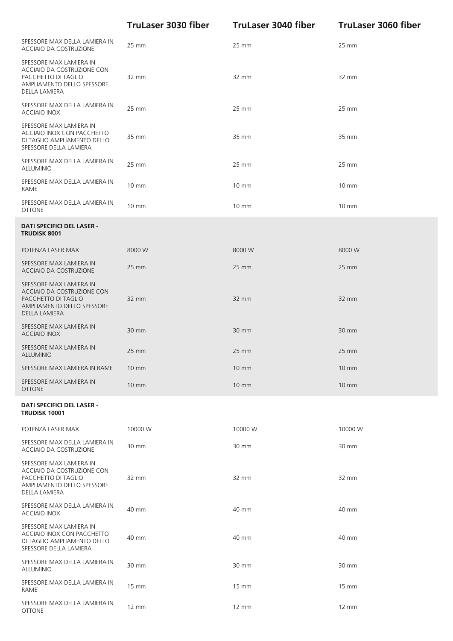|                                                                                                                                    | <b>TruLaser 3030 fiber</b> | <b>TruLaser 3040 fiber</b> | <b>TruLaser 3060 fiber</b> |
|------------------------------------------------------------------------------------------------------------------------------------|----------------------------|----------------------------|----------------------------|
| SPESSORE MAX DELLA LAMIERA IN<br>ACCIAIO DA COSTRUZIONE                                                                            | 25 mm                      | 25 mm                      | 25 mm                      |
| SPESSORE MAX LAMIERA IN<br>ACCIAIO DA COSTRUZIONE CON<br>PACCHETTO DI TAGLIO<br>AMPLIAMENTO DELLO SPESSORE<br><b>DELLA LAMIERA</b> | 32 mm                      | 32 mm                      | 32 mm                      |
| SPESSORE MAX DELLA LAMIERA IN<br><b>ACCIAIO INOX</b>                                                                               | 25 mm                      | 25 mm                      | 25 mm                      |
| SPESSORE MAX LAMIERA IN<br>ACCIAIO INOX CON PACCHETTO<br>DI TAGLIO AMPLIAMENTO DELLO<br>SPESSORE DELLA LAMIERA                     | 35 mm                      | 35 mm                      | 35 mm                      |
| SPESSORE MAX DELLA LAMIERA IN<br><b>ALLUMINIO</b>                                                                                  | 25 mm                      | 25 mm                      | 25 mm                      |
| SPESSORE MAX DELLA LAMIERA IN<br>RAME                                                                                              | $10 \, \text{mm}$          | $10 \, \text{mm}$          | $10 \, \text{mm}$          |
| SPESSORE MAX DELLA LAMIERA IN<br><b>OTTONE</b>                                                                                     | $10 \, \text{mm}$          | 10 mm                      | $10 \, \text{mm}$          |
| <b>DATI SPECIFICI DEL LASER -</b><br><b>TRUDISK 8001</b>                                                                           |                            |                            |                            |
| POTENZA LASER MAX                                                                                                                  | 8000 W                     | 8000 W                     | 8000 W                     |
| SPESSORE MAX LAMIERA IN<br>ACCIAIO DA COSTRUZIONE                                                                                  | 25 mm                      | 25 mm                      | 25 mm                      |
| SPESSORE MAX LAMIERA IN<br>ACCIAIO DA COSTRUZIONE CON<br>PACCHETTO DI TAGLIO<br>AMPLIAMENTO DELLO SPESSORE<br>DELLA LAMIERA        | 32 mm                      | 32 mm                      | 32 mm                      |
| SPESSORE MAX LAMIERA IN<br><b>ACCIAIO INOX</b>                                                                                     | 30 mm                      | 30 mm                      | 30 mm                      |
| SPESSORE MAX LAMIERA IN<br><b>ALLUMINIO</b>                                                                                        | 25 mm                      | 25 mm                      | 25 mm                      |
| SPESSORE MAX LAMIERA IN RAME                                                                                                       | $10 \, \text{mm}$          | <b>10 mm</b>               | $10 \, \text{mm}$          |
| SPESSORE MAX LAMIERA IN<br><b>OTTONE</b>                                                                                           | $10 \, \text{mm}$          | $10 \, \text{mm}$          | $10 \, \text{mm}$          |
| <b>DATI SPECIFICI DEL LASER -</b><br><b>TRUDISK 10001</b>                                                                          |                            |                            |                            |
| POTENZA LASER MAX                                                                                                                  | 10000 W                    | 10000 W                    | 10000 W                    |
| SPESSORE MAX DELLA LAMIERA IN<br>ACCIAIO DA COSTRUZIONE                                                                            | 30 mm                      | 30 mm                      | 30 mm                      |
| SPESSORE MAX LAMIERA IN<br>ACCIAIO DA COSTRUZIONE CON<br>PACCHETTO DI TAGLIO<br>AMPLIAMENTO DELLO SPESSORE<br>DELLA LAMIERA        | 32 mm                      | 32 mm                      | 32 mm                      |
| SPESSORE MAX DELLA LAMIERA IN<br>ACCIAIO INOX                                                                                      | 40 mm                      | 40 mm                      | 40 mm                      |
| SPESSORE MAX LAMIERA IN<br>ACCIAIO INOX CON PACCHETTO<br>DI TAGLIO AMPLIAMENTO DELLO<br>SPESSORE DELLA LAMIERA                     | 40 mm                      | 40 mm                      | 40 mm                      |
| SPESSORE MAX DELLA LAMIERA IN<br><b>ALLUMINIO</b>                                                                                  | 30 mm                      | 30 mm                      | 30 mm                      |
| SPESSORE MAX DELLA LAMIERA IN<br>RAME                                                                                              | $15 \, \text{mm}$          | $15 \, \text{mm}$          | $15 \, \text{mm}$          |
| SPESSORE MAX DELLA LAMIERA IN<br><b>OTTONE</b>                                                                                     | $12 \, \text{mm}$          | 12 mm                      | 12 mm                      |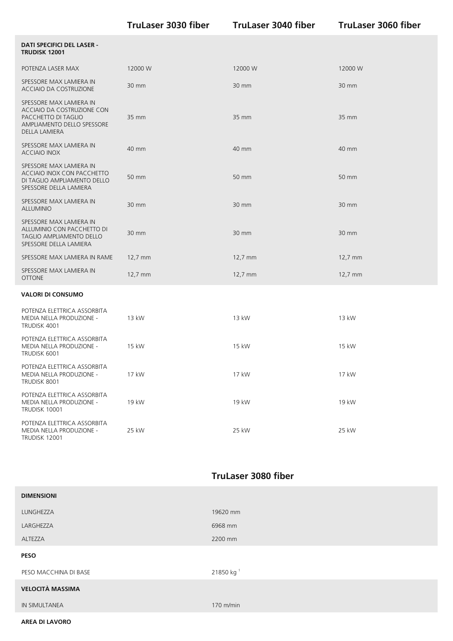|                                                                                                                             | <b>TruLaser 3030 fiber</b> | <b>TruLaser 3040 fiber</b> | <b>TruLaser 3060 fiber</b> |
|-----------------------------------------------------------------------------------------------------------------------------|----------------------------|----------------------------|----------------------------|
| <b>DATI SPECIFICI DEL LASER -</b><br><b>TRUDISK 12001</b>                                                                   |                            |                            |                            |
| POTENZA LASER MAX                                                                                                           | 12000 W                    | 12000 W                    | 12000 W                    |
| SPESSORE MAX LAMIERA IN<br>ACCIAIO DA COSTRUZIONE                                                                           | 30 mm                      | 30 mm                      | 30 mm                      |
| SPESSORE MAX LAMIERA IN<br>ACCIAIO DA COSTRUZIONE CON<br>PACCHETTO DI TAGLIO<br>AMPLIAMENTO DELLO SPESSORE<br>DELLA LAMIERA | 35 mm                      | 35 mm                      | 35 mm                      |
| SPESSORE MAX LAMIERA IN<br><b>ACCIAIO INOX</b>                                                                              | 40 mm                      | 40 mm                      | 40 mm                      |
| SPESSORE MAX LAMIERA IN<br>ACCIAIO INOX CON PACCHETTO<br>DI TAGLIO AMPLIAMENTO DELLO<br>SPESSORE DELLA LAMIERA              | 50 mm                      | 50 mm                      | 50 mm                      |
| SPESSORE MAX LAMIERA IN<br><b>ALLUMINIO</b>                                                                                 | 30 mm                      | 30 mm                      | 30 mm                      |
| SPESSORE MAX LAMIERA IN<br>ALLUMINIO CON PACCHETTO DI<br>TAGLIO AMPLIAMENTO DELLO<br>SPESSORE DELLA LAMIERA                 | 30 mm                      | 30 mm                      | 30 mm                      |
| SPESSORE MAX LAMIERA IN RAME                                                                                                | 12,7 mm                    | 12,7 mm                    | $12,7 \, \text{mm}$        |
| SPESSORE MAX LAMIERA IN<br><b>OTTONE</b>                                                                                    | 12,7 mm                    | 12,7 mm                    | 12,7 mm                    |
| <b>VALORI DI CONSUMO</b>                                                                                                    |                            |                            |                            |
| POTENZA ELETTRICA ASSORBITA<br>MEDIA NELLA PRODUZIONE -<br>TRUDISK 4001                                                     | 13 kW                      | 13 kW                      | 13 kW                      |
| POTENZA ELETTRICA ASSORBITA<br>MEDIA NELLA PRODUZIONE -<br>TRUDISK 6001                                                     | 15 kW                      | 15 kW                      | 15 kW                      |
| POTENZA ELETTRICA ASSORBITA<br>MEDIA NELLA PRODUZIONE -<br>TRUDISK 8001                                                     | 17 kW                      | 17 kW                      | 17 kW                      |
| POTENZA ELETTRICA ASSORBITA<br>MEDIA NELLA PRODUZIONE -<br>TRUDISK 10001                                                    | 19 kW                      | 19 kW                      | 19 kW                      |
| POTENZA ELETTRICA ASSORBITA<br>MEDIA NELLA PRODUZIONE -<br>TRUDISK 12001                                                    | 25 kW                      | 25 kW                      | 25 kW                      |

## **TruLaser 3080 fiber**

| <b>DIMENSIONI</b>       |                       |
|-------------------------|-----------------------|
| LUNGHEZZA               | 19620 mm              |
| LARGHEZZA               | 6968 mm               |
| ALTEZZA                 | 2200 mm               |
| <b>PESO</b>             |                       |
| PESO MACCHINA DI BASE   | 21850 kg <sup>1</sup> |
| <b>VELOCITÀ MASSIMA</b> |                       |
| IN SIMULTANEA           | 170 m/min             |

#### **AREA DI LAVORO**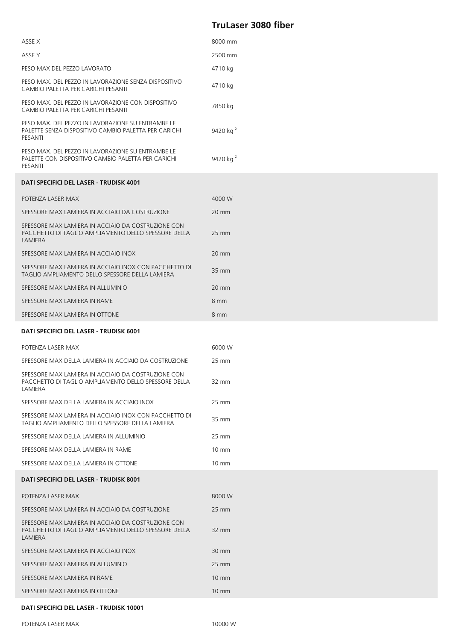## **TruLaser 3080 fiber**

| ASSE X                                                                                                                | 8000 mm              |
|-----------------------------------------------------------------------------------------------------------------------|----------------------|
| ASSE Y                                                                                                                | 2500 mm              |
| PESO MAX DEL PEZZO LAVORATO                                                                                           | 4710 kg              |
| PESO MAX. DEL PEZZO IN LAVORAZIONE SENZA DISPOSITIVO<br>CAMBIO PALETTA PER CARICHI PESANTI                            | 4710 kg              |
| PESO MAX. DEL PEZZO IN LAVORAZIONE CON DISPOSITIVO<br>CAMBIO PALETTA PER CARICHI PESANTI                              | 7850 kg              |
| PESO MAX. DEL PEZZO IN LAVORAZIONE SU ENTRAMBE LE<br>PALETTE SENZA DISPOSITIVO CAMBIO PALETTA PER CARICHI<br>PESANTI  | 9420 kg <sup>2</sup> |
| PESO MAX. DEL PEZZO IN LAVORAZIONE SU ENTRAMBE LE<br>PALETTE CON DISPOSITIVO CAMBIO PALETTA PER CARICHI<br>PESANTI    | 9420 kg $^{2}$       |
| DATI SPECIFICI DEL LASER - TRUDISK 4001                                                                               |                      |
| POTENZA LASER MAX                                                                                                     | 4000 W               |
| SPESSORE MAX LAMIERA IN ACCIAIO DA COSTRUZIONE                                                                        | $20 \text{ mm}$      |
| SPESSORE MAX LAMIERA IN ACCIAIO DA COSTRUZIONE CON<br>PACCHETTO DI TAGLIO AMPLIAMENTO DELLO SPESSORE DELLA<br>LAMIERA | $25 \text{ mm}$      |
| SPESSORE MAX LAMIERA IN ACCIAIO INOX                                                                                  | 20 mm                |
| SPESSORE MAX LAMIERA IN ACCIAIO INOX CON PACCHETTO DI<br>TAGLIO AMPLIAMENTO DELLO SPESSORE DELLA LAMIERA              | 35 mm                |
| SPESSORE MAX LAMIERA IN ALLUMINIO                                                                                     | $20 \text{ mm}$      |
| SPESSORE MAX LAMIERA IN RAME                                                                                          | 8 mm                 |
| SPESSORE MAX LAMIERA IN OTTONE                                                                                        | 8 mm                 |
| DATI SPECIFICI DEL LASER - TRUDISK 6001                                                                               |                      |
| POTENZA LASER MAX                                                                                                     | 6000 W               |
| SPESSORE MAX DELLA LAMIERA IN ACCIAIO DA COSTRUZIONE                                                                  | 25 mm                |
| SPESSORE MAX LAMIERA IN ACCIAIO DA COSTRUZIONE CON<br>PACCHETTO DI TAGLIO AMPLIAMENTO DELLO SPESSORE DELLA<br>LAMIERA | 32 mm                |

| SPESSORE MAX DELLA LAMIERA IN ACCIAIO INOX                                                                  | 25 mm |
|-------------------------------------------------------------------------------------------------------------|-------|
| SPESSORE MAX LAMIERA IN ACCIAIO INOX CON PACCHETTO DI<br>TAGLIO AMPLIAMENTO DELLO SPESSORE DFI I A I AMIFRA | 35 mm |
| SPESSORE MAX DELLA LAMIERA IN ALLUMINIO                                                                     | 25 mm |

| SPESSORE MAX DELLA LAMIERA IN RAME   | 10 mm |
|--------------------------------------|-------|
| SPESSORE MAX DELLA LAMIERA IN OTTONE | 10 mm |

#### **DATI SPECIFICI DEL LASER - TRUDISK 8001**

| POTENZA LASER MAX                                                                                                            | 8000 W          |
|------------------------------------------------------------------------------------------------------------------------------|-----------------|
|                                                                                                                              |                 |
| SPESSORE MAX LAMIERA IN ACCIAIO DA COSTRUZIONE                                                                               | $25 \text{ mm}$ |
| SPESSORE MAX LAMIERA IN ACCIAIO DA COSTRUZIONE CON<br>PACCHETTO DI TAGLIO AMPLIAMENTO DELLO SPESSORE DELLA<br><b>LAMIFRA</b> | $32 \text{ mm}$ |
| SPESSORE MAX LAMIERA IN ACCIAIO INOX                                                                                         | $30 \text{ mm}$ |
| SPESSORE MAX LAMIERA IN ALLUMINIO                                                                                            | $25 \text{ mm}$ |
| SPESSORE MAX LAMIERA IN RAME                                                                                                 | $10 \text{ mm}$ |
| SPESSORE MAX LAMIERA IN OTTONE                                                                                               | $10 \text{ mm}$ |

#### **DATI SPECIFICI DEL LASER - TRUDISK 10001**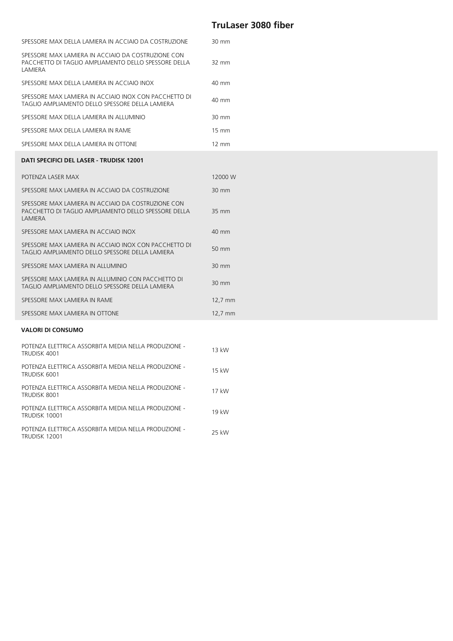### **TruLaser 3080 fiber**

| SPESSORE MAX DELLA LAMIERA IN ACCIAIO DA COSTRUZIONE                                                                  | 30 mm           |
|-----------------------------------------------------------------------------------------------------------------------|-----------------|
| SPESSORE MAX LAMIERA IN ACCIAIO DA COSTRUZIONE CON<br>PACCHETTO DI TAGLIO AMPLIAMENTO DELLO SPESSORE DELLA<br>LAMIERA | 32 mm           |
| SPESSORE MAX DELLA LAMIERA IN ACCIAIO INOX                                                                            | 40 mm           |
| SPESSORE MAX LAMIERA IN ACCIAIO INOX CON PACCHETTO DI<br>TAGLIO AMPLIAMENTO DELLO SPESSORE DELLA LAMIERA              | 40 mm           |
| SPESSORE MAX DELLA LAMIERA IN ALLUMINIO                                                                               | 30 mm           |
| SPESSORE MAX DELLA LAMIERA IN RAME                                                                                    | $15 \text{ mm}$ |
| SPESSORE MAX DELLA LAMIERA IN OTTONE                                                                                  | $12 \text{ mm}$ |
| DATI SPECIFICI DEL LASER - TRUDISK 12001                                                                              |                 |
| POTENZA LASER MAX                                                                                                     | 12000 W         |
| SPESSORE MAX LAMIERA IN ACCIAIO DA COSTRUZIONE                                                                        | 30 mm           |
| SPESSORE MAX LAMIERA IN ACCIAIO DA COSTRUZIONE CON<br>PACCHETTO DI TAGLIO AMPLIAMENTO DELLO SPESSORE DELLA<br>LAMIERA | 35 mm           |
| SPESSORE MAX LAMIERA IN ACCIAIO INOX                                                                                  | 40 mm           |
| SPESSORE MAX LAMIERA IN ACCIAIO INOX CON PACCHETTO DI<br>TAGLIO AMPLIAMENTO DELLO SPESSORE DELLA LAMIERA              | 50 mm           |
| SPESSORE MAX LAMIERA IN ALLUMINIO                                                                                     | 30 mm           |
| SPESSORE MAX LAMIERA IN ALLUMINIO CON PACCHETTO DI<br>TAGLIO AMPLIAMENTO DELLO SPESSORE DELLA LAMIERA                 | 30 mm           |
| SPESSORE MAX LAMIERA IN RAME                                                                                          | $12,7$ mm       |
| SPESSORE MAX LAMIERA IN OTTONE                                                                                        | 12,7 mm         |
| <b>VALORI DI CONSUMO</b>                                                                                              |                 |
| POTENZA ELETTRICA ASSORBITA MEDIA NELLA PRODUZIONE -<br>TRUDISK 4001                                                  | 13 kW           |

| POTENZA ELETTRICA ASSORBITA MEDIA NELLA PRODUZIONE -<br>TRUDISK 6001  | 15 kW |
|-----------------------------------------------------------------------|-------|
| POTENZA ELETTRICA ASSORBITA MEDIA NELLA PRODUZIONE -<br>TRUDISK 8001  | 17 kW |
| POTENZA ELETTRICA ASSORBITA MEDIA NELLA PRODUZIONE -<br>TRUDISK 10001 | 19 kW |
| POTENZA ELETTRICA ASSORBITA MEDIA NELLA PRODUZIONE -<br>TRUDISK 12001 | 25 kW |